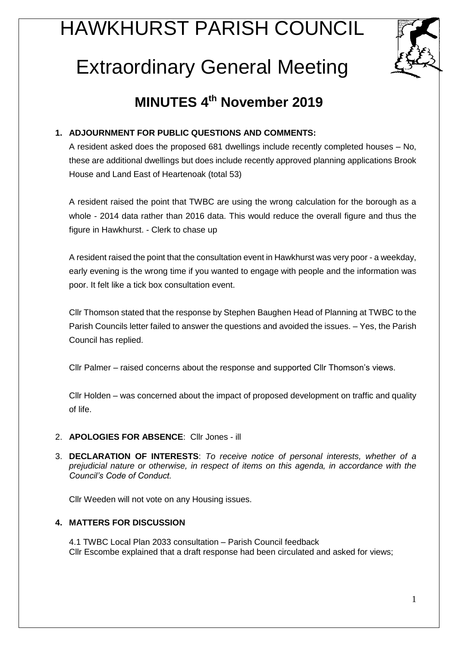# HAWKHURST PARISH COUNCIL



# Extraordinary General Meeting

# **MINUTES 4th November 2019**

# **1. ADJOURNMENT FOR PUBLIC QUESTIONS AND COMMENTS:**

A resident asked does the proposed 681 dwellings include recently completed houses – No, these are additional dwellings but does include recently approved planning applications Brook House and Land East of Heartenoak (total 53)

A resident raised the point that TWBC are using the wrong calculation for the borough as a whole - 2014 data rather than 2016 data. This would reduce the overall figure and thus the figure in Hawkhurst. - Clerk to chase up

A resident raised the point that the consultation event in Hawkhurst was very poor - a weekday, early evening is the wrong time if you wanted to engage with people and the information was poor. It felt like a tick box consultation event.

Cllr Thomson stated that the response by Stephen Baughen Head of Planning at TWBC to the Parish Councils letter failed to answer the questions and avoided the issues. – Yes, the Parish Council has replied.

Cllr Palmer – raised concerns about the response and supported Cllr Thomson's views.

Cllr Holden – was concerned about the impact of proposed development on traffic and quality of life.

- 2. **APOLOGIES FOR ABSENCE**: Cllr Jones ill
- 3. **DECLARATION OF INTERESTS**: *To receive notice of personal interests, whether of a prejudicial nature or otherwise, in respect of items on this agenda, in accordance with the Council's Code of Conduct.*

Cllr Weeden will not vote on any Housing issues.

## **4. MATTERS FOR DISCUSSION**

4.1 TWBC Local Plan 2033 consultation – Parish Council feedback Cllr Escombe explained that a draft response had been circulated and asked for views;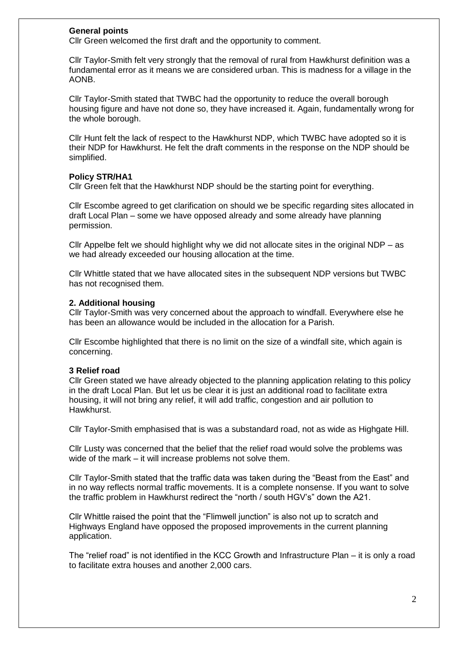#### **General points**

Cllr Green welcomed the first draft and the opportunity to comment.

Cllr Taylor-Smith felt very strongly that the removal of rural from Hawkhurst definition was a fundamental error as it means we are considered urban. This is madness for a village in the AONB.

Cllr Taylor-Smith stated that TWBC had the opportunity to reduce the overall borough housing figure and have not done so, they have increased it. Again, fundamentally wrong for the whole borough.

Cllr Hunt felt the lack of respect to the Hawkhurst NDP, which TWBC have adopted so it is their NDP for Hawkhurst. He felt the draft comments in the response on the NDP should be simplified.

#### **Policy STR/HA1**

Cllr Green felt that the Hawkhurst NDP should be the starting point for everything.

Cllr Escombe agreed to get clarification on should we be specific regarding sites allocated in draft Local Plan – some we have opposed already and some already have planning permission.

Cllr Appelbe felt we should highlight why we did not allocate sites in the original NDP – as we had already exceeded our housing allocation at the time.

Cllr Whittle stated that we have allocated sites in the subsequent NDP versions but TWBC has not recognised them.

#### **2. Additional housing**

Cllr Taylor-Smith was very concerned about the approach to windfall. Everywhere else he has been an allowance would be included in the allocation for a Parish.

Cllr Escombe highlighted that there is no limit on the size of a windfall site, which again is concerning.

#### **3 Relief road**

Cllr Green stated we have already objected to the planning application relating to this policy in the draft Local Plan. But let us be clear it is just an additional road to facilitate extra housing, it will not bring any relief, it will add traffic, congestion and air pollution to Hawkhurst.

Cllr Taylor-Smith emphasised that is was a substandard road, not as wide as Highgate Hill.

Cllr Lusty was concerned that the belief that the relief road would solve the problems was wide of the mark – it will increase problems not solve them.

Cllr Taylor-Smith stated that the traffic data was taken during the "Beast from the East" and in no way reflects normal traffic movements. It is a complete nonsense. If you want to solve the traffic problem in Hawkhurst redirect the "north / south HGV's" down the A21.

Cllr Whittle raised the point that the "Flimwell junction" is also not up to scratch and Highways England have opposed the proposed improvements in the current planning application.

The "relief road" is not identified in the KCC Growth and Infrastructure Plan – it is only a road to facilitate extra houses and another 2,000 cars.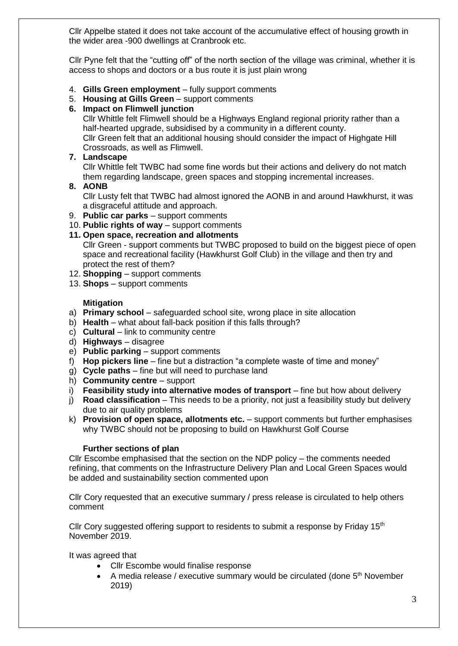Cllr Appelbe stated it does not take account of the accumulative effect of housing growth in the wider area -900 dwellings at Cranbrook etc.

Cllr Pyne felt that the "cutting off" of the north section of the village was criminal, whether it is access to shops and doctors or a bus route it is just plain wrong

- 4. **Gills Green employment** fully support comments
- 5. **Housing at Gills Green** support comments

#### **6. Impact on Flimwell junction**

Cllr Whittle felt Flimwell should be a Highways England regional priority rather than a half-hearted upgrade, subsidised by a community in a different county. Cllr Green felt that an additional housing should consider the impact of Highgate Hill Crossroads, as well as Flimwell.

#### **7. Landscape**

Cllr Whittle felt TWBC had some fine words but their actions and delivery do not match them regarding landscape, green spaces and stopping incremental increases.

#### **8. AONB**

Cllr Lusty felt that TWBC had almost ignored the AONB in and around Hawkhurst, it was a disgraceful attitude and approach.

- 9. **Public car parks** support comments
- 10. **Public rights of way** support comments

### **11. Open space, recreation and allotments**

Cllr Green - support comments but TWBC proposed to build on the biggest piece of open space and recreational facility (Hawkhurst Golf Club) in the village and then try and protect the rest of them?

- 12. **Shopping** support comments
- 13. **Shops** support comments

#### **Mitigation**

- a) **Primary school** safeguarded school site, wrong place in site allocation
- b) **Health**  what about fall-back position if this falls through?
- c) **Cultural** link to community centre
- d) **Highways** disagree
- e) **Public parking** support comments
- f) **Hop pickers line** fine but a distraction "a complete waste of time and money"
- g) **Cycle paths**  fine but will need to purchase land
- h) **Community centre**  support
- i) **Feasibility study into alternative modes of transport** fine but how about delivery
- j) **Road classification**  This needs to be a priority, not just a feasibility study but delivery due to air quality problems
- k) **Provision of open space, allotments etc.** support comments but further emphasises why TWBC should not be proposing to build on Hawkhurst Golf Course

#### **Further sections of plan**

Cllr Escombe emphasised that the section on the NDP policy – the comments needed refining, that comments on the Infrastructure Delivery Plan and Local Green Spaces would be added and sustainability section commented upon

Cllr Cory requested that an executive summary / press release is circulated to help others comment

Cllr Cory suggested offering support to residents to submit a response by Friday  $15<sup>th</sup>$ November 2019.

It was agreed that

- Cllr Escombe would finalise response
- A media release / executive summary would be circulated (done  $5<sup>th</sup>$  November 2019)